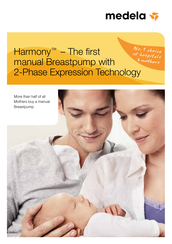

#### No. 1 choice Harmony<sup>™</sup> – The first of hospitals<br>of hospitals & mothers manual Breastpump with 2-Phase Expression Technology

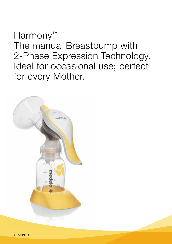Harmony™ The manual Breastpump with 2-Phase Expression Technology. Ideal for occasional use; perfect for every Mother.

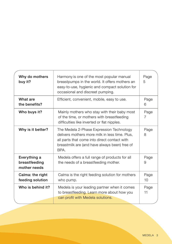| Why do mothers<br>buy it?                     | Harmony is one of the most popular manual<br>breastpumps in the world. It offers mothers an<br>easy-to-use, hygienic and compact solution for<br>occasional and discreet pumping.                   | Page<br>5  |
|-----------------------------------------------|-----------------------------------------------------------------------------------------------------------------------------------------------------------------------------------------------------|------------|
| What are<br>the benefits?                     | Efficient, convenient, mobile, easy to use.                                                                                                                                                         | Page<br>6  |
| Who buys it?                                  | Mainly mothers who stay with their baby most<br>of the time, or mothers with breastfeeding<br>difficulties like inverted or flat nipples.                                                           | Page<br>7  |
| Why is it better?                             | The Medela 2-Phase Expression Technology<br>delivers mothers more milk in less time. Plus,<br>all parts that come into direct contact with<br>breastmilk are (and have always been) free of<br>BPA. | Page<br>8  |
| Everything a<br>breastfeeding<br>mother needs | Medela offers a full range of products for all<br>the needs of a breastfeeding mother.                                                                                                              | Page<br>9  |
| Calma: the right<br>feeding solution          | Calma is the right feeding solution for mothers<br>who pump.                                                                                                                                        | Page<br>10 |
| Who is behind it?                             | Medela is your leading partner when it comes<br>to breastfeeding. Learn more about how you<br>can profit with Medela solutions.                                                                     | Page<br>11 |
|                                               |                                                                                                                                                                                                     |            |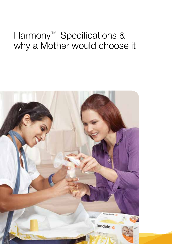### Harmony<sup>™</sup> Specifications & why a Mother would choose it

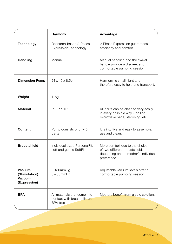|                                                   | Harmony                                                                        | Advantage                                                                                                                |
|---------------------------------------------------|--------------------------------------------------------------------------------|--------------------------------------------------------------------------------------------------------------------------|
| Technology                                        | Research-based 2-Phase<br><b>Expression Technology</b>                         | 2-Phase Expression guarantees<br>efficiency and comfort.                                                                 |
| Handling                                          | Manual                                                                         | Manual handling and the swivel<br>handle provide a discreet and<br>comfortable pumping session.                          |
| <b>Dimension Pump</b>                             | 24 x 19 x 8.5cm                                                                | Harmony is small, light and<br>therefore easy to hold and transport.                                                     |
| Weight                                            | 118g                                                                           |                                                                                                                          |
| Material                                          | PE, PP, TPE                                                                    | All parts can be cleaned very easily<br>in every possible way - boiling,<br>microwave bags, sterilising, etc.            |
| Content                                           | Pump consists of only 5<br>parts                                               | It is intuitive and easy to assemble,<br>use and clean.                                                                  |
| <b>Breastshield</b>                               | Individual sized PersonalFit,<br>soft and gentle SoftFit                       | More comfort due to the choice<br>of two different breastshields,<br>depending on the mother's individual<br>preference. |
| Vacuum<br>(Stimulation)<br>Vacuum<br>(Expression) | 0-150mmHg<br>0-230mmHg                                                         | Adjustable vacuum levels offer a<br>comfortable pumping session.                                                         |
| <b>BPA</b>                                        | All materials that come into<br>contact with breastmilk are<br><b>BPA-free</b> | Mothers benefit from a safe solution.                                                                                    |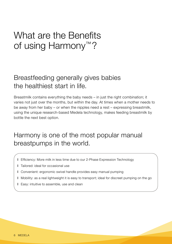### What are the Benefits of using Harmony™?

### Breastfeeding generally gives babies the healthiest start in life.

Breastmilk contains everything the baby needs – in just the right combination; it varies not just over the months, but within the day. At times when a mother needs to be away from her baby – or when the nipples need a rest – expressing breastmilk, using the unique research-based Medela technology, makes feeding breastmilk by bottle the next best option.

#### Harmony is one of the most popular manual breastpumps in the world.

- I Efficiency: More milk in less time due to our 2-Phase Expression Technology
- I Tailored: ideal for occasional use
- I Convenient: ergonomic swivel handle provides easy manual pumping
- I Mobility: as a real lightweight it is easy to transport; ideal for discreet pumping on the go
- I Easy: intuitive to assemble, use and clean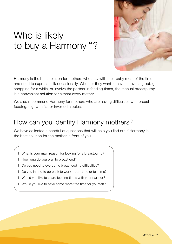

# Who is likely to buy a Harmony™?

Harmony is the best solution for mothers who stay with their baby most of the time, and need to express milk occasionally. Whether they want to have an evening out, go shopping for a while, or involve the partner in feeding times, the manual breastpump is a convenient solution for almost every mother.

We also recommend Harmony for mothers who are having difficulties with breastfeeding, e.g. with flat or inverted nipples.

#### How can you identify Harmony mothers?

We have collected a handful of questions that will help you find out if Harmony is the best solution for the mother in front of you:

- I What is your main reason for looking for a breastpump?
- I How long do you plan to breastfeed?
- I Do you need to overcome breastfeeding difficulties?
- I Do you intend to go back to work part-time or full-time?
- I Would you like to share feeding times with your partner?
- I Would you like to have some more free time for yourself?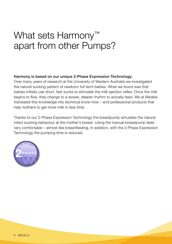### What sets Harmony<sup>™</sup> apart from other Pumps?

#### Harmony is based on our unique 2-Phase Expression Technology:

Over many years of research at the University of Western Australia we investigated the natural sucking pattern of newborn full term babies. What we found was that babies initially use short, fast sucks to stimulate the milk ejection reflex. Once the milk begins to flow, they change to a slower, deeper rhythm to actually feed. We at Medela translated this knowledge into technical know-how – and professional products that help mothers to get more milk in less time.

Thanks to our 2-Phase Expression Technology the breastpump simulates the natural infant sucking behaviour at the mother's breast. Using the manual breastpump feels very comfortable – almost like breastfeeding. In addition, with the 2-Phase Expression Technology the pumping time is reduced.

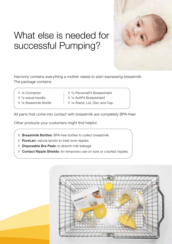

# What else is needed for successful Pumping?

Harmony contains everything a mother needs to start expressing breastmilk. The package contains:

- I 1x Connector
- I 1x swivel handle
- I 1x Breastmilk Bottle

I 1x PersonalFit Breastshield

I 1x SoftFit Breastshield

I 1x Stand, Lid, Disc and Cap

All parts that come into contact with breastmilk are completely BPA-free!

Other products your customers might find helpful:

- I Breastmilk Bottles: BPA-free bottles to collect breastmilk.
- I PureLan: natural lanolin to treat sore nipples.
- I Disposable Bra Pads: to absorb milk leakage.
- I Contact Nipple Shields: for temporary use on sore or cracked nipples.

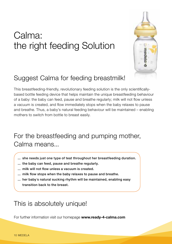## Calma: the right feeding Solution



### Suggest Calma for feeding breastmilk!

This breastfeeding-friendly, revolutionary feeding solution is the only scientificallybased bottle feeding device that helps maintain the unique breastfeeding behaviour of a baby: the baby can feed, pause and breathe regularly; milk will not flow unless a vacuum is created, and flow immediately stops when the baby relaxes to pause and breathe. Thus, a baby's natural feeding behaviour will be maintained – enabling mothers to switch from bottle to breast easily.

### For the breastfeeding and pumping mother, Calma means...

- ... she needs just one type of teat throughout her breastfeeding duration.
- ... the baby can feed, pause and breathe regularly.
- ... milk will not flow unless a vacuum is created.
- ... milk flow stops when the baby relaxes to pause and breathe.
- ... her baby's natural sucking rhythm will be maintained, enabling easy transition back to the breast.

### This is absolutely unique!

For further information visit our homepage www.ready-4-calma.com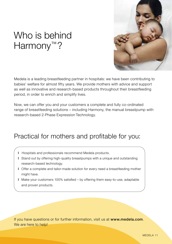

### Who is behind Harmony<sup>™</sup>?

Medela is a leading breastfeeding partner in hospitals: we have been contributing to babies' welfare for almost fifty years. We provide mothers with advice and support as well as innovative and research-based products throughout their breastfeeding period, in order to enrich and simplify lives.

Now, we can offer you and your customers a complete and fully co-ordinated range of breastfeeding solutions – including Harmony, the manual breastpump with research-based 2-Phase Expression Technology.

#### Practical for mothers and profitable for you:

- I Hospitals and professionals recommend Medela products.
- I Stand out by offering high-quality breastpumps with a unique and outstanding research-based technology.
- I Offer a complete and tailor-made solution for every need a breastfeeding mother might have.
- I Make your customers 100% satisfied by offering them easy-to-use, adaptable and proven products.

If you have questions or for further information, visit us at www.medela.com. We are here to help!